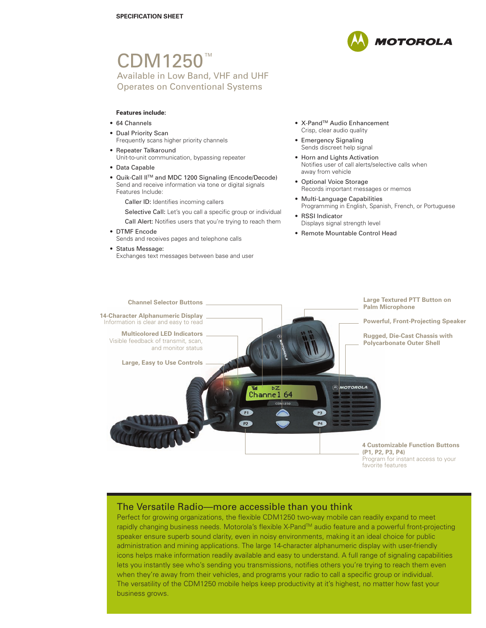# CDM1250<sup>™</sup> Available in Low Band, VHF and UHF Operates on Conventional Systems

## **Features include:**

- 64 Channels
- Dual Priority Scan Frequently scans higher priority channels
- Repeater Talkaround Unit-to-unit communication, bypassing repeater
- Data Capable
- Quik-Call IITM and MDC 1200 Signaling (Encode/Decode) Send and receive information via tone or digital signals Features Include:

Caller ID: Identifies incoming callers

Selective Call: Let's you call a specific group or individual

- Call Alert: Notifies users that you're trying to reach them
- DTMF Encode
	- Sends and receives pages and telephone calls
- Status Message:

Exchanges text messages between base and user



- X-Pand<sup>™</sup> Audio Enhancement Crisp, clear audio quality
- Emergency Signaling Sends discreet help signal
- Horn and Lights Activation Notifies user of call alerts/selective calls when away from vehicle
- Optional Voice Storage Records important messages or memos
- Multi-Language Capabilities Programming in English, Spanish, French, or Portuguese
- RSSI Indicator Displays signal strength level
- Remote Mountable Control Head



# The Versatile Radio—more accessible than you think

Perfect for growing organizations, the flexible CDM1250 two-way mobile can readily expand to meet rapidly changing business needs. Motorola's flexible X-Pand™ audio feature and a powerful front-projecting speaker ensure superb sound clarity, even in noisy environments, making it an ideal choice for public administration and mining applications. The large 14-character alphanumeric display with user-friendly icons helps make information readily available and easy to understand. A full range of signaling capabilities lets you instantly see who's sending you transmissions, notifies others you're trying to reach them even when they're away from their vehicles, and programs your radio to call a specific group or individual. The versatility of the CDM1250 mobile helps keep productivity at it's highest, no matter how fast your business grows.